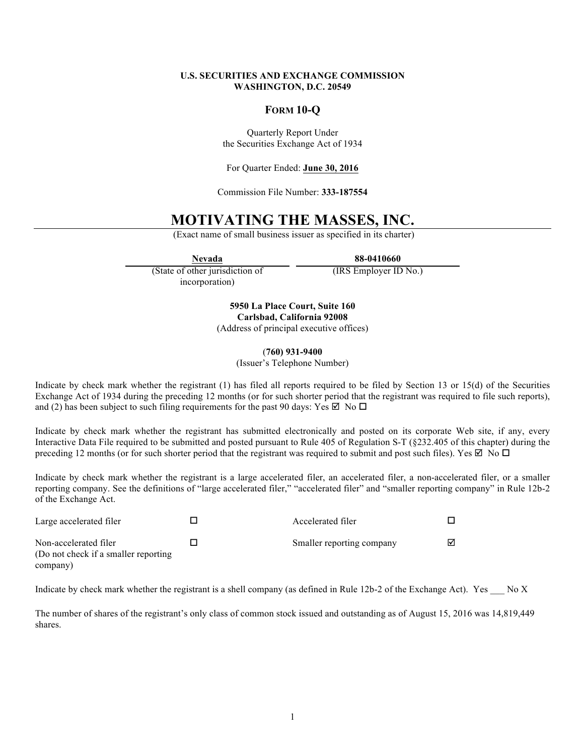#### **U.S. SECURITIES AND EXCHANGE COMMISSION WASHINGTON, D.C. 20549**

### **FORM 10-Q**

Quarterly Report Under the Securities Exchange Act of 1934

For Quarter Ended: **June 30, 2016**

Commission File Number: **333-187554**

# **MOTIVATING THE MASSES, INC.**

(Exact name of small business issuer as specified in its charter)

**Nevada 88-0410660**

(State of other jurisdiction of incorporation)

(IRS Employer ID No.)

**5950 La Place Court, Suite 160 Carlsbad, California 92008** (Address of principal executive offices)

(**760) 931-9400**

(Issuer's Telephone Number)

Indicate by check mark whether the registrant (1) has filed all reports required to be filed by Section 13 or 15(d) of the Securities Exchange Act of 1934 during the preceding 12 months (or for such shorter period that the registrant was required to file such reports), and (2) has been subject to such filing requirements for the past 90 days: Yes  $\boxtimes$  No  $\Box$ 

Indicate by check mark whether the registrant has submitted electronically and posted on its corporate Web site, if any, every Interactive Data File required to be submitted and posted pursuant to Rule 405 of Regulation S-T (§232.405 of this chapter) during the preceding 12 months (or for such shorter period that the registrant was required to submit and post such files). Yes  $\boxtimes$  No  $\Box$ 

Indicate by check mark whether the registrant is a large accelerated filer, an accelerated filer, a non-accelerated filer, or a smaller reporting company. See the definitions of "large accelerated filer," "accelerated filer" and "smaller reporting company" in Rule 12b-2 of the Exchange Act.

| Large accelerated filer                                        | Accelerated filer         |   |
|----------------------------------------------------------------|---------------------------|---|
| Non-accelerated filer<br>(Do not check if a smaller reporting) | Smaller reporting company | ☑ |
| company)                                                       |                           |   |

Indicate by check mark whether the registrant is a shell company (as defined in Rule 12b-2 of the Exchange Act). Yes No X

The number of shares of the registrant's only class of common stock issued and outstanding as of August 15, 2016 was 14,819,449 shares.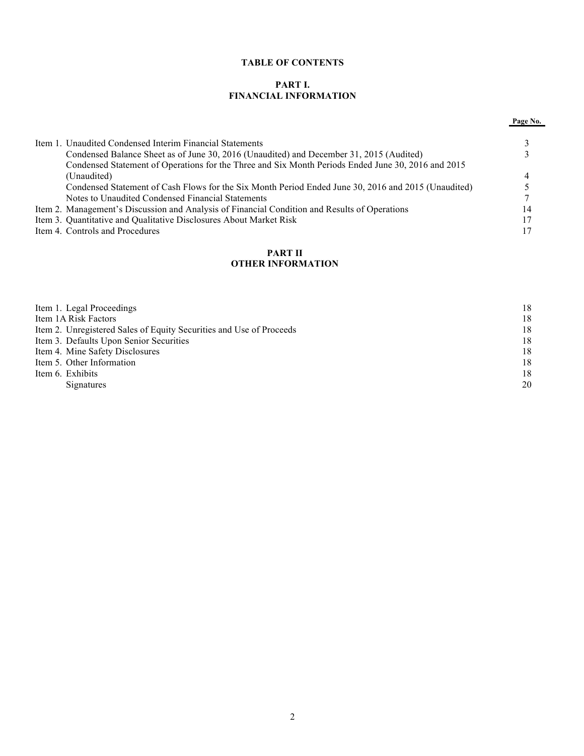# **TABLE OF CONTENTS**

### **PART I. FINANCIAL INFORMATION**

**Page No.** 

| Item 1. Unaudited Condensed Interim Financial Statements                                            |    |
|-----------------------------------------------------------------------------------------------------|----|
| Condensed Balance Sheet as of June 30, 2016 (Unaudited) and December 31, 2015 (Audited)             |    |
| Condensed Statement of Operations for the Three and Six Month Periods Ended June 30, 2016 and 2015  |    |
| (Unaudited)                                                                                         |    |
| Condensed Statement of Cash Flows for the Six Month Period Ended June 30, 2016 and 2015 (Unaudited) |    |
| Notes to Unaudited Condensed Financial Statements                                                   |    |
| Item 2. Management's Discussion and Analysis of Financial Condition and Results of Operations       | 14 |
| Item 3. Quantitative and Qualitative Disclosures About Market Risk                                  |    |
| Item 4. Controls and Procedures                                                                     |    |

### **PART II OTHER INFORMATION**

| Item 1. Legal Proceedings                                           | 18 |
|---------------------------------------------------------------------|----|
| Item 1A Risk Factors                                                | 18 |
| Item 2. Unregistered Sales of Equity Securities and Use of Proceeds | 18 |
| Item 3. Defaults Upon Senior Securities                             | 18 |
| Item 4. Mine Safety Disclosures                                     | 18 |
| Item 5. Other Information                                           | 18 |
| Item 6. Exhibits                                                    | 18 |
| Signatures                                                          | 20 |
|                                                                     |    |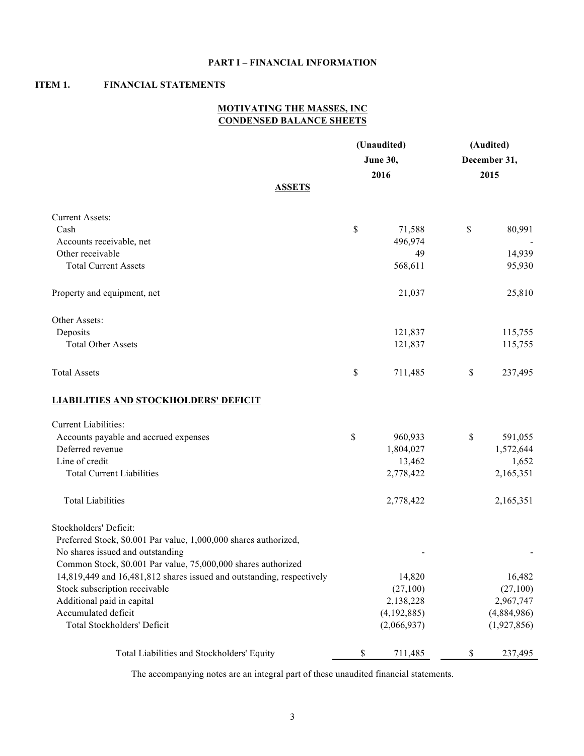### **PART I – FINANCIAL INFORMATION**

# **ITEM 1. FINANCIAL STATEMENTS**

# **MOTIVATING THE MASSES, INC CONDENSED BALANCE SHEETS**

|                                                                       | (Unaudited) |                 | (Audited) |              |  |
|-----------------------------------------------------------------------|-------------|-----------------|-----------|--------------|--|
|                                                                       |             | <b>June 30,</b> |           | December 31, |  |
|                                                                       |             | 2016            |           | 2015         |  |
| <b>ASSETS</b>                                                         |             |                 |           |              |  |
| <b>Current Assets:</b>                                                |             |                 |           |              |  |
| Cash                                                                  | \$          | 71,588          | \$        | 80,991       |  |
| Accounts receivable, net                                              |             | 496,974         |           |              |  |
| Other receivable                                                      |             | 49              |           | 14,939       |  |
| <b>Total Current Assets</b>                                           |             | 568,611         |           | 95,930       |  |
|                                                                       |             |                 |           |              |  |
| Property and equipment, net                                           |             | 21,037          |           | 25,810       |  |
| Other Assets:                                                         |             |                 |           |              |  |
| Deposits                                                              |             | 121,837         |           | 115,755      |  |
| <b>Total Other Assets</b>                                             |             | 121,837         |           | 115,755      |  |
| <b>Total Assets</b>                                                   | \$          | 711,485         | \$        | 237,495      |  |
| <b>LIABILITIES AND STOCKHOLDERS' DEFICIT</b>                          |             |                 |           |              |  |
| <b>Current Liabilities:</b>                                           |             |                 |           |              |  |
| Accounts payable and accrued expenses                                 | \$          | 960,933         | \$        | 591,055      |  |
| Deferred revenue                                                      |             | 1,804,027       |           | 1,572,644    |  |
| Line of credit                                                        |             | 13,462          |           | 1,652        |  |
| <b>Total Current Liabilities</b>                                      |             | 2,778,422       |           | 2,165,351    |  |
| <b>Total Liabilities</b>                                              |             | 2,778,422       |           | 2,165,351    |  |
| Stockholders' Deficit:                                                |             |                 |           |              |  |
| Preferred Stock, \$0.001 Par value, 1,000,000 shares authorized,      |             |                 |           |              |  |
| No shares issued and outstanding                                      |             |                 |           |              |  |
| Common Stock, \$0.001 Par value, 75,000,000 shares authorized         |             |                 |           |              |  |
| 14,819,449 and 16,481,812 shares issued and outstanding, respectively |             | 14,820          |           | 16,482       |  |
| Stock subscription receivable                                         |             | (27,100)        |           | (27,100)     |  |
| Additional paid in capital                                            |             | 2,138,228       |           | 2,967,747    |  |
| Accumulated deficit                                                   |             | (4,192,885)     |           | (4,884,986)  |  |
| <b>Total Stockholders' Deficit</b>                                    |             | (2,066,937)     |           | (1,927,856)  |  |
| Total Liabilities and Stockholders' Equity                            | \$          | 711,485         | \$        | 237,495      |  |

The accompanying notes are an integral part of these unaudited financial statements.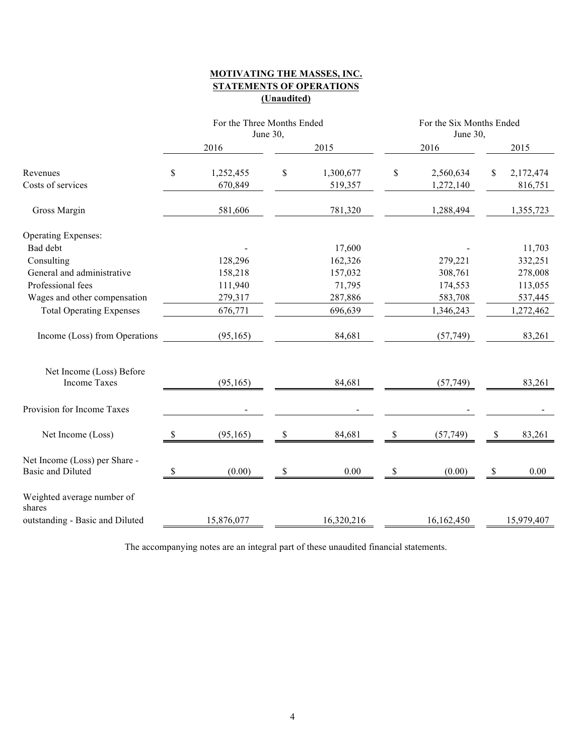# **MOTIVATING THE MASSES, INC. STATEMENTS OF OPERATIONS (Unaudited)**

|                                                           | For the Three Months Ended<br>June 30, |                      | For the Six Months Ended<br>June 30, |             |                        |    |                      |
|-----------------------------------------------------------|----------------------------------------|----------------------|--------------------------------------|-------------|------------------------|----|----------------------|
|                                                           |                                        | 2016                 | 2015                                 |             | 2016                   |    | 2015                 |
| Revenues<br>Costs of services                             | \$                                     | 1,252,455<br>670,849 | \$<br>1,300,677<br>519,357           | \$          | 2,560,634<br>1,272,140 | \$ | 2,172,474<br>816,751 |
| Gross Margin                                              |                                        | 581,606              | 781,320                              |             | 1,288,494              |    | 1,355,723            |
| <b>Operating Expenses:</b>                                |                                        |                      |                                      |             |                        |    |                      |
| Bad debt                                                  |                                        |                      | 17,600                               |             |                        |    | 11,703               |
| Consulting                                                |                                        | 128,296              | 162,326                              |             | 279,221                |    | 332,251              |
| General and administrative                                |                                        | 158,218              | 157,032                              |             | 308,761                |    | 278,008              |
| Professional fees                                         |                                        | 111,940              | 71,795                               |             | 174,553                |    | 113,055              |
| Wages and other compensation                              |                                        | 279,317              | 287,886                              |             | 583,708                |    | 537,445              |
| <b>Total Operating Expenses</b>                           |                                        | 676,771              | 696,639                              |             | 1,346,243              |    | 1,272,462            |
| Income (Loss) from Operations                             |                                        | (95, 165)            | 84,681                               |             | (57, 749)              |    | 83,261               |
| Net Income (Loss) Before<br><b>Income Taxes</b>           |                                        | (95, 165)            | 84,681                               |             | (57,749)               |    | 83,261               |
| Provision for Income Taxes                                |                                        |                      |                                      |             |                        |    |                      |
| Net Income (Loss)                                         | \$                                     | (95, 165)            | \$<br>84,681                         | $\mathbb S$ | (57, 749)              | \$ | 83,261               |
| Net Income (Loss) per Share -<br><b>Basic and Diluted</b> | \$                                     | (0.00)               | \$<br>0.00                           | \$          | (0.00)                 | \$ | 0.00                 |
| Weighted average number of<br>shares                      |                                        |                      |                                      |             |                        |    |                      |
| outstanding - Basic and Diluted                           |                                        | 15,876,077           | 16,320,216                           |             | 16,162,450             |    | 15,979,407           |

The accompanying notes are an integral part of these unaudited financial statements.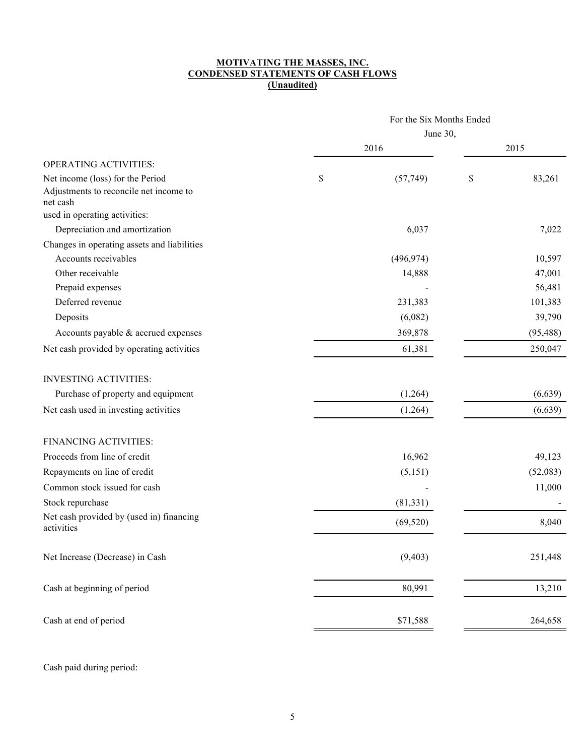#### **MOTIVATING THE MASSES, INC. CONDENSED STATEMENTS OF CASH FLOWS (Unaudited)**

|                                                                              | For the Six Months Ended |            |             |           |  |
|------------------------------------------------------------------------------|--------------------------|------------|-------------|-----------|--|
|                                                                              |                          | June 30,   |             |           |  |
|                                                                              |                          | 2016       |             |           |  |
| <b>OPERATING ACTIVITIES:</b>                                                 |                          |            |             |           |  |
| Net income (loss) for the Period                                             | \$                       | (57, 749)  | $\mathbb S$ | 83,261    |  |
| Adjustments to reconcile net income to                                       |                          |            |             |           |  |
| net cash<br>used in operating activities:                                    |                          |            |             |           |  |
|                                                                              |                          | 6,037      |             | 7,022     |  |
| Depreciation and amortization<br>Changes in operating assets and liabilities |                          |            |             |           |  |
| Accounts receivables                                                         |                          | (496, 974) |             | 10,597    |  |
| Other receivable                                                             |                          | 14,888     |             | 47,001    |  |
| Prepaid expenses                                                             |                          |            |             | 56,481    |  |
| Deferred revenue                                                             |                          | 231,383    |             | 101,383   |  |
|                                                                              |                          |            |             |           |  |
| Deposits                                                                     |                          | (6,082)    |             | 39,790    |  |
| Accounts payable & accrued expenses                                          |                          | 369,878    |             | (95, 488) |  |
| Net cash provided by operating activities                                    |                          | 61,381     |             | 250,047   |  |
|                                                                              |                          |            |             |           |  |
| <b>INVESTING ACTIVITIES:</b>                                                 |                          |            |             |           |  |
| Purchase of property and equipment                                           |                          | (1,264)    |             | (6,639)   |  |
| Net cash used in investing activities                                        |                          | (1,264)    |             | (6,639)   |  |
| FINANCING ACTIVITIES:                                                        |                          |            |             |           |  |
| Proceeds from line of credit                                                 |                          | 16,962     |             | 49,123    |  |
| Repayments on line of credit                                                 |                          | (5,151)    |             | (52,083)  |  |
| Common stock issued for cash                                                 |                          |            |             | 11,000    |  |
| Stock repurchase                                                             |                          | (81, 331)  |             |           |  |
| Net cash provided by (used in) financing                                     |                          | (69, 520)  |             | 8,040     |  |
| activities                                                                   |                          |            |             |           |  |
| Net Increase (Decrease) in Cash                                              |                          | (9, 403)   |             | 251,448   |  |
| Cash at beginning of period                                                  |                          | 80,991     |             | 13,210    |  |
| Cash at end of period                                                        |                          | \$71,588   |             | 264,658   |  |
|                                                                              |                          |            |             |           |  |

Cash paid during period: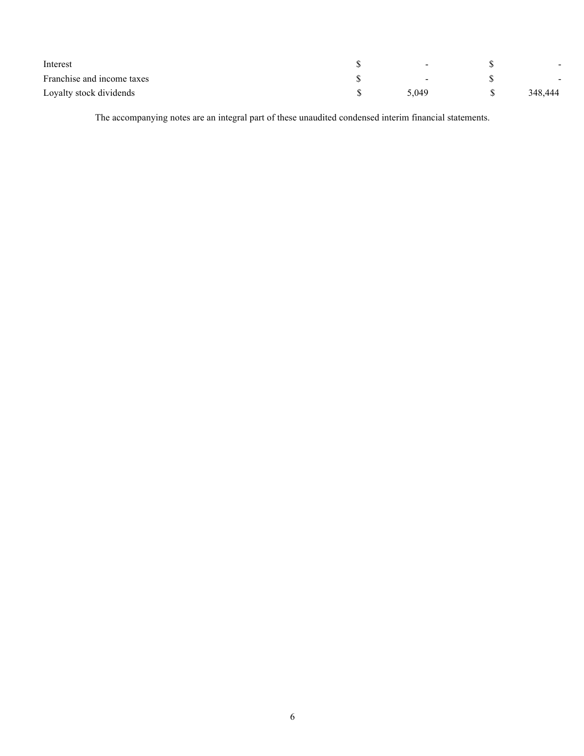| Interest                   | $\overline{\phantom{0}}$ | $\sim$  |
|----------------------------|--------------------------|---------|
| Franchise and income taxes | $\overline{\phantom{0}}$ |         |
| Loyalty stock dividends    | 5 049                    | 348,444 |

The accompanying notes are an integral part of these unaudited condensed interim financial statements.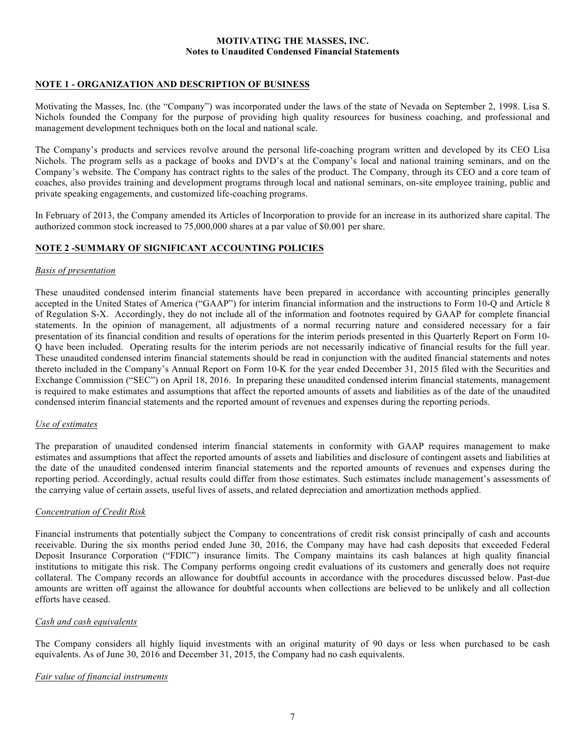### **NOTE 1 - ORGANIZATION AND DESCRIPTION OF BUSINESS**

Motivating the Masses, Inc. (the "Company") was incorporated under the laws of the state of Nevada on September 2, 1998. Lisa S. Nichols founded the Company for the purpose of providing high quality resources for business coaching, and professional and management development techniques both on the local and national scale.

The Company's products and services revolve around the personal life-coaching program written and developed by its CEO Lisa Nichols. The program sells as a package of books and DVD's at the Company's local and national training seminars, and on the Company's website. The Company has contract rights to the sales of the product. The Company, through its CEO and a core team of coaches, also provides training and development programs through local and national seminars, on-site employee training, public and private speaking engagements, and customized life-coaching programs.

In February of 2013, the Company amended its Articles of Incorporation to provide for an increase in its authorized share capital. The authorized common stock increased to 75,000,000 shares at a par value of \$0.001 per share.

### **NOTE 2 -SUMMARY OF SIGNIFICANT ACCOUNTING POLICIES**

### *Basis of presentation*

These unaudited condensed interim financial statements have been prepared in accordance with accounting principles generally accepted in the United States of America ("GAAP") for interim financial information and the instructions to Form 10-Q and Article 8 of Regulation S-X. Accordingly, they do not include all of the information and footnotes required by GAAP for complete financial statements. In the opinion of management, all adjustments of a normal recurring nature and considered necessary for a fair presentation of its financial condition and results of operations for the interim periods presented in this Quarterly Report on Form 10- Q have been included. Operating results for the interim periods are not necessarily indicative of financial results for the full year. These unaudited condensed interim financial statements should be read in conjunction with the audited financial statements and notes thereto included in the Company's Annual Report on Form 10-K for the year ended December 31, 2015 filed with the Securities and Exchange Commission ("SEC") on April 18, 2016. In preparing these unaudited condensed interim financial statements, management is required to make estimates and assumptions that affect the reported amounts of assets and liabilities as of the date of the unaudited condensed interim financial statements and the reported amount of revenues and expenses during the reporting periods.

### *Use of estimates*

The preparation of unaudited condensed interim financial statements in conformity with GAAP requires management to make estimates and assumptions that affect the reported amounts of assets and liabilities and disclosure of contingent assets and liabilities at the date of the unaudited condensed interim financial statements and the reported amounts of revenues and expenses during the reporting period. Accordingly, actual results could differ from those estimates. Such estimates include management's assessments of the carrying value of certain assets, useful lives of assets, and related depreciation and amortization methods applied.

#### *Concentration of Credit Risk*

Financial instruments that potentially subject the Company to concentrations of credit risk consist principally of cash and accounts receivable. During the six months period ended June 30, 2016, the Company may have had cash deposits that exceeded Federal Deposit Insurance Corporation ("FDIC") insurance limits. The Company maintains its cash balances at high quality financial institutions to mitigate this risk. The Company performs ongoing credit evaluations of its customers and generally does not require collateral. The Company records an allowance for doubtful accounts in accordance with the procedures discussed below. Past-due amounts are written off against the allowance for doubtful accounts when collections are believed to be unlikely and all collection efforts have ceased.

#### *Cash and cash equivalents*

The Company considers all highly liquid investments with an original maturity of 90 days or less when purchased to be cash equivalents. As of June 30, 2016 and December 31, 2015, the Company had no cash equivalents.

### *Fair value of financial instruments*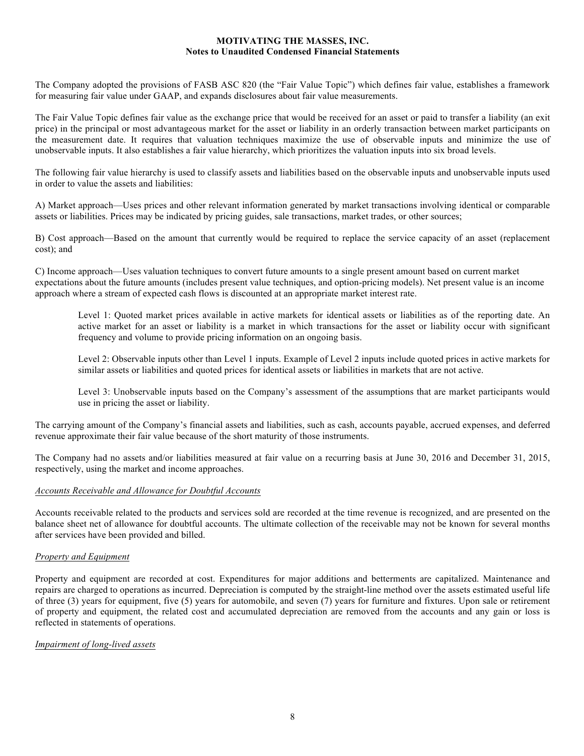The Company adopted the provisions of FASB ASC 820 (the "Fair Value Topic") which defines fair value, establishes a framework for measuring fair value under GAAP, and expands disclosures about fair value measurements.

The Fair Value Topic defines fair value as the exchange price that would be received for an asset or paid to transfer a liability (an exit price) in the principal or most advantageous market for the asset or liability in an orderly transaction between market participants on the measurement date. It requires that valuation techniques maximize the use of observable inputs and minimize the use of unobservable inputs. It also establishes a fair value hierarchy, which prioritizes the valuation inputs into six broad levels.

The following fair value hierarchy is used to classify assets and liabilities based on the observable inputs and unobservable inputs used in order to value the assets and liabilities:

A) Market approach—Uses prices and other relevant information generated by market transactions involving identical or comparable assets or liabilities. Prices may be indicated by pricing guides, sale transactions, market trades, or other sources;

B) Cost approach—Based on the amount that currently would be required to replace the service capacity of an asset (replacement cost); and

C) Income approach—Uses valuation techniques to convert future amounts to a single present amount based on current market expectations about the future amounts (includes present value techniques, and option-pricing models). Net present value is an income approach where a stream of expected cash flows is discounted at an appropriate market interest rate.

Level 1: Quoted market prices available in active markets for identical assets or liabilities as of the reporting date. An active market for an asset or liability is a market in which transactions for the asset or liability occur with significant frequency and volume to provide pricing information on an ongoing basis.

Level 2: Observable inputs other than Level 1 inputs. Example of Level 2 inputs include quoted prices in active markets for similar assets or liabilities and quoted prices for identical assets or liabilities in markets that are not active.

Level 3: Unobservable inputs based on the Company's assessment of the assumptions that are market participants would use in pricing the asset or liability.

The carrying amount of the Company's financial assets and liabilities, such as cash, accounts payable, accrued expenses, and deferred revenue approximate their fair value because of the short maturity of those instruments.

The Company had no assets and/or liabilities measured at fair value on a recurring basis at June 30, 2016 and December 31, 2015, respectively, using the market and income approaches.

### *Accounts Receivable and Allowance for Doubtful Accounts*

Accounts receivable related to the products and services sold are recorded at the time revenue is recognized, and are presented on the balance sheet net of allowance for doubtful accounts. The ultimate collection of the receivable may not be known for several months after services have been provided and billed.

### *Property and Equipment*

Property and equipment are recorded at cost. Expenditures for major additions and betterments are capitalized. Maintenance and repairs are charged to operations as incurred. Depreciation is computed by the straight-line method over the assets estimated useful life of three (3) years for equipment, five (5) years for automobile, and seven (7) years for furniture and fixtures. Upon sale or retirement of property and equipment, the related cost and accumulated depreciation are removed from the accounts and any gain or loss is reflected in statements of operations.

### *Impairment of long-lived assets*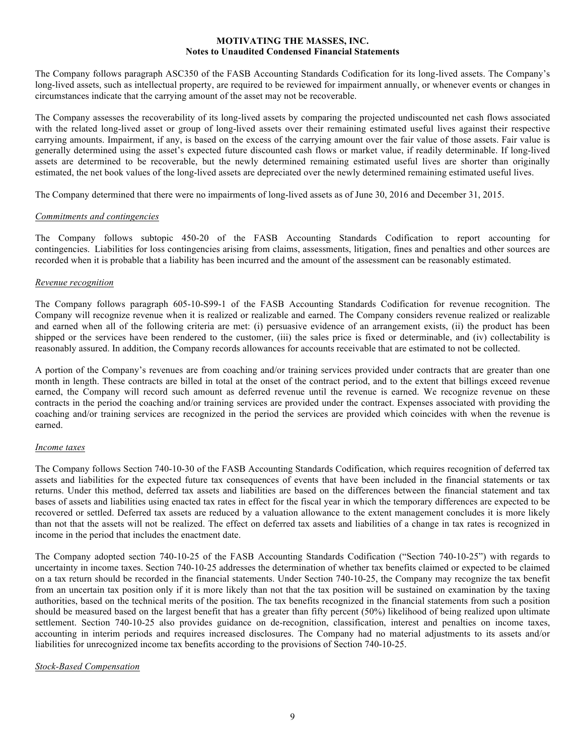The Company follows paragraph ASC350 of the FASB Accounting Standards Codification for its long-lived assets. The Company's long-lived assets, such as intellectual property, are required to be reviewed for impairment annually, or whenever events or changes in circumstances indicate that the carrying amount of the asset may not be recoverable.

The Company assesses the recoverability of its long-lived assets by comparing the projected undiscounted net cash flows associated with the related long-lived asset or group of long-lived assets over their remaining estimated useful lives against their respective carrying amounts. Impairment, if any, is based on the excess of the carrying amount over the fair value of those assets. Fair value is generally determined using the asset's expected future discounted cash flows or market value, if readily determinable. If long-lived assets are determined to be recoverable, but the newly determined remaining estimated useful lives are shorter than originally estimated, the net book values of the long-lived assets are depreciated over the newly determined remaining estimated useful lives.

The Company determined that there were no impairments of long-lived assets as of June 30, 2016 and December 31, 2015.

#### *Commitments and contingencies*

The Company follows subtopic 450-20 of the FASB Accounting Standards Codification to report accounting for contingencies. Liabilities for loss contingencies arising from claims, assessments, litigation, fines and penalties and other sources are recorded when it is probable that a liability has been incurred and the amount of the assessment can be reasonably estimated.

#### *Revenue recognition*

The Company follows paragraph 605-10-S99-1 of the FASB Accounting Standards Codification for revenue recognition. The Company will recognize revenue when it is realized or realizable and earned. The Company considers revenue realized or realizable and earned when all of the following criteria are met: (i) persuasive evidence of an arrangement exists, (ii) the product has been shipped or the services have been rendered to the customer, (iii) the sales price is fixed or determinable, and (iv) collectability is reasonably assured. In addition, the Company records allowances for accounts receivable that are estimated to not be collected.

A portion of the Company's revenues are from coaching and/or training services provided under contracts that are greater than one month in length. These contracts are billed in total at the onset of the contract period, and to the extent that billings exceed revenue earned, the Company will record such amount as deferred revenue until the revenue is earned. We recognize revenue on these contracts in the period the coaching and/or training services are provided under the contract. Expenses associated with providing the coaching and/or training services are recognized in the period the services are provided which coincides with when the revenue is earned.

#### *Income taxes*

The Company follows Section 740-10-30 of the FASB Accounting Standards Codification, which requires recognition of deferred tax assets and liabilities for the expected future tax consequences of events that have been included in the financial statements or tax returns. Under this method, deferred tax assets and liabilities are based on the differences between the financial statement and tax bases of assets and liabilities using enacted tax rates in effect for the fiscal year in which the temporary differences are expected to be recovered or settled. Deferred tax assets are reduced by a valuation allowance to the extent management concludes it is more likely than not that the assets will not be realized. The effect on deferred tax assets and liabilities of a change in tax rates is recognized in income in the period that includes the enactment date.

The Company adopted section 740-10-25 of the FASB Accounting Standards Codification ("Section 740-10-25") with regards to uncertainty in income taxes. Section 740-10-25 addresses the determination of whether tax benefits claimed or expected to be claimed on a tax return should be recorded in the financial statements. Under Section 740-10-25, the Company may recognize the tax benefit from an uncertain tax position only if it is more likely than not that the tax position will be sustained on examination by the taxing authorities, based on the technical merits of the position. The tax benefits recognized in the financial statements from such a position should be measured based on the largest benefit that has a greater than fifty percent (50%) likelihood of being realized upon ultimate settlement. Section 740-10-25 also provides guidance on de-recognition, classification, interest and penalties on income taxes, accounting in interim periods and requires increased disclosures. The Company had no material adjustments to its assets and/or liabilities for unrecognized income tax benefits according to the provisions of Section 740-10-25.

### *Stock-Based Compensation*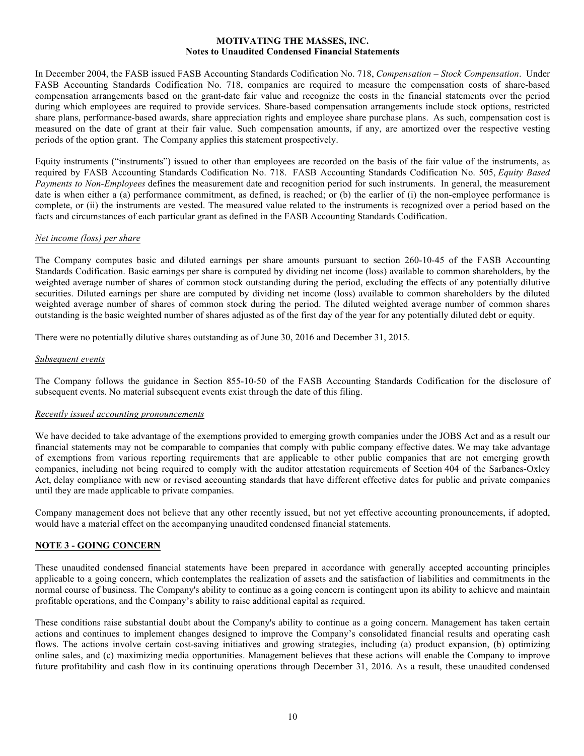In December 2004, the FASB issued FASB Accounting Standards Codification No. 718, *Compensation – Stock Compensation*. Under FASB Accounting Standards Codification No. 718, companies are required to measure the compensation costs of share-based compensation arrangements based on the grant-date fair value and recognize the costs in the financial statements over the period during which employees are required to provide services. Share-based compensation arrangements include stock options, restricted share plans, performance-based awards, share appreciation rights and employee share purchase plans. As such, compensation cost is measured on the date of grant at their fair value. Such compensation amounts, if any, are amortized over the respective vesting periods of the option grant. The Company applies this statement prospectively.

Equity instruments ("instruments") issued to other than employees are recorded on the basis of the fair value of the instruments, as required by FASB Accounting Standards Codification No. 718. FASB Accounting Standards Codification No. 505, *Equity Based Payments to Non-Employees* defines the measurement date and recognition period for such instruments. In general, the measurement date is when either a (a) performance commitment, as defined, is reached; or (b) the earlier of (i) the non-employee performance is complete, or (ii) the instruments are vested. The measured value related to the instruments is recognized over a period based on the facts and circumstances of each particular grant as defined in the FASB Accounting Standards Codification.

### *Net income (loss) per share*

The Company computes basic and diluted earnings per share amounts pursuant to section 260-10-45 of the FASB Accounting Standards Codification. Basic earnings per share is computed by dividing net income (loss) available to common shareholders, by the weighted average number of shares of common stock outstanding during the period, excluding the effects of any potentially dilutive securities. Diluted earnings per share are computed by dividing net income (loss) available to common shareholders by the diluted weighted average number of shares of common stock during the period. The diluted weighted average number of common shares outstanding is the basic weighted number of shares adjusted as of the first day of the year for any potentially diluted debt or equity.

There were no potentially dilutive shares outstanding as of June 30, 2016 and December 31, 2015.

#### *Subsequent events*

The Company follows the guidance in Section 855-10-50 of the FASB Accounting Standards Codification for the disclosure of subsequent events. No material subsequent events exist through the date of this filing.

#### *Recently issued accounting pronouncements*

We have decided to take advantage of the exemptions provided to emerging growth companies under the JOBS Act and as a result our financial statements may not be comparable to companies that comply with public company effective dates. We may take advantage of exemptions from various reporting requirements that are applicable to other public companies that are not emerging growth companies, including not being required to comply with the auditor attestation requirements of Section 404 of the Sarbanes-Oxley Act, delay compliance with new or revised accounting standards that have different effective dates for public and private companies until they are made applicable to private companies.

Company management does not believe that any other recently issued, but not yet effective accounting pronouncements, if adopted, would have a material effect on the accompanying unaudited condensed financial statements.

### **NOTE 3 - GOING CONCERN**

These unaudited condensed financial statements have been prepared in accordance with generally accepted accounting principles applicable to a going concern, which contemplates the realization of assets and the satisfaction of liabilities and commitments in the normal course of business. The Company's ability to continue as a going concern is contingent upon its ability to achieve and maintain profitable operations, and the Company's ability to raise additional capital as required.

These conditions raise substantial doubt about the Company's ability to continue as a going concern. Management has taken certain actions and continues to implement changes designed to improve the Company's consolidated financial results and operating cash flows. The actions involve certain cost-saving initiatives and growing strategies, including (a) product expansion, (b) optimizing online sales, and (c) maximizing media opportunities. Management believes that these actions will enable the Company to improve future profitability and cash flow in its continuing operations through December 31, 2016. As a result, these unaudited condensed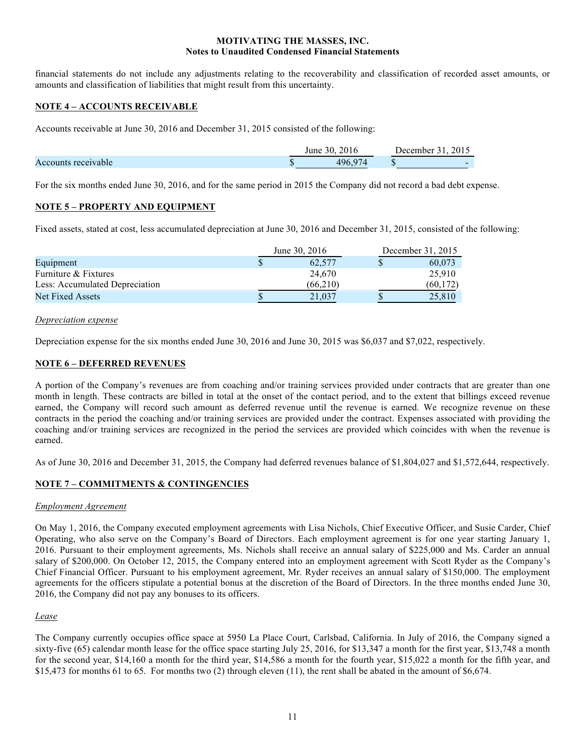financial statements do not include any adjustments relating to the recoverability and classification of recorded asset amounts, or amounts and classification of liabilities that might result from this uncertainty.

### **NOTE 4 – ACCOUNTS RECEIVABLE**

Accounts receivable at June 30, 2016 and December 31, 2015 consisted of the following:

|                     | June 30, 2016 | 2015<br>December 31. |
|---------------------|---------------|----------------------|
| Accounts receivable | 496.974       |                      |

For the six months ended June 30, 2016, and for the same period in 2015 the Company did not record a bad debt expense.

### **NOTE 5 – PROPERTY AND EQUIPMENT**

Fixed assets, stated at cost, less accumulated depreciation at June 30, 2016 and December 31, 2015, consisted of the following:

|                                | June 30, 2016 |  | December 31, 2015 |
|--------------------------------|---------------|--|-------------------|
| Equipment                      | 62.577        |  | 60.073            |
| Furniture & Fixtures           | 24,670        |  | 25.910            |
| Less: Accumulated Depreciation | (66, 210)     |  | (60, 172)         |
| Net Fixed Assets               | 21.037        |  | 25,810            |

#### *Depreciation expense*

Depreciation expense for the six months ended June 30, 2016 and June 30, 2015 was \$6,037 and \$7,022, respectively.

### **NOTE 6 – DEFERRED REVENUES**

A portion of the Company's revenues are from coaching and/or training services provided under contracts that are greater than one month in length. These contracts are billed in total at the onset of the contact period, and to the extent that billings exceed revenue earned, the Company will record such amount as deferred revenue until the revenue is earned. We recognize revenue on these contracts in the period the coaching and/or training services are provided under the contract. Expenses associated with providing the coaching and/or training services are recognized in the period the services are provided which coincides with when the revenue is earned.

As of June 30, 2016 and December 31, 2015, the Company had deferred revenues balance of \$1,804,027 and \$1,572,644, respectively.

### **NOTE 7 – COMMITMENTS & CONTINGENCIES**

### *Employment Agreement*

On May 1, 2016, the Company executed employment agreements with Lisa Nichols, Chief Executive Officer, and Susie Carder, Chief Operating, who also serve on the Company's Board of Directors. Each employment agreement is for one year starting January 1, 2016. Pursuant to their employment agreements, Ms. Nichols shall receive an annual salary of \$225,000 and Ms. Carder an annual salary of \$200,000. On October 12, 2015, the Company entered into an employment agreement with Scott Ryder as the Company's Chief Financial Officer. Pursuant to his employment agreement, Mr. Ryder receives an annual salary of \$150,000. The employment agreements for the officers stipulate a potential bonus at the discretion of the Board of Directors. In the three months ended June 30, 2016, the Company did not pay any bonuses to its officers.

### *Lease*

The Company currently occupies office space at 5950 La Place Court, Carlsbad, California. In July of 2016, the Company signed a sixty-five (65) calendar month lease for the office space starting July 25, 2016, for \$13,347 a month for the first year, \$13,748 a month for the second year, \$14,160 a month for the third year, \$14,586 a month for the fourth year, \$15,022 a month for the fifth year, and \$15,473 for months 61 to 65. For months two (2) through eleven (11), the rent shall be abated in the amount of \$6,674.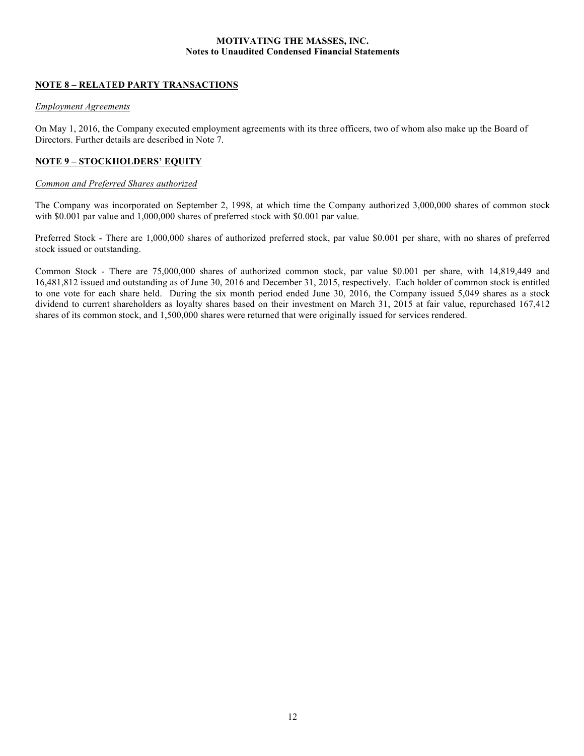### **NOTE 8 – RELATED PARTY TRANSACTIONS**

### *Employment Agreements*

On May 1, 2016, the Company executed employment agreements with its three officers, two of whom also make up the Board of Directors. Further details are described in Note 7.

### **NOTE 9 – STOCKHOLDERS' EQUITY**

### *Common and Preferred Shares authorized*

The Company was incorporated on September 2, 1998, at which time the Company authorized 3,000,000 shares of common stock with \$0.001 par value and 1,000,000 shares of preferred stock with \$0.001 par value.

Preferred Stock - There are 1,000,000 shares of authorized preferred stock, par value \$0.001 per share, with no shares of preferred stock issued or outstanding.

Common Stock - There are 75,000,000 shares of authorized common stock, par value \$0.001 per share, with 14,819,449 and 16,481,812 issued and outstanding as of June 30, 2016 and December 31, 2015, respectively. Each holder of common stock is entitled to one vote for each share held. During the six month period ended June 30, 2016, the Company issued 5,049 shares as a stock dividend to current shareholders as loyalty shares based on their investment on March 31, 2015 at fair value, repurchased 167,412 shares of its common stock, and 1,500,000 shares were returned that were originally issued for services rendered.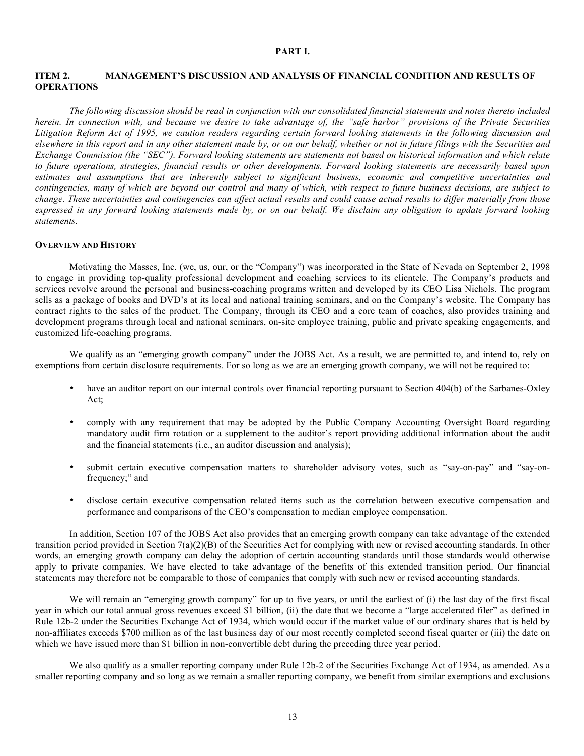#### **PART I.**

### **ITEM 2. MANAGEMENT'S DISCUSSION AND ANALYSIS OF FINANCIAL CONDITION AND RESULTS OF OPERATIONS**

*The following discussion should be read in conjunction with our consolidated financial statements and notes thereto included herein. In connection with, and because we desire to take advantage of, the "safe harbor" provisions of the Private Securities Litigation Reform Act of 1995, we caution readers regarding certain forward looking statements in the following discussion and elsewhere in this report and in any other statement made by, or on our behalf, whether or not in future filings with the Securities and Exchange Commission (the "SEC"). Forward looking statements are statements not based on historical information and which relate to future operations, strategies, financial results or other developments. Forward looking statements are necessarily based upon estimates and assumptions that are inherently subject to significant business, economic and competitive uncertainties and contingencies, many of which are beyond our control and many of which, with respect to future business decisions, are subject to change. These uncertainties and contingencies can affect actual results and could cause actual results to differ materially from those expressed in any forward looking statements made by, or on our behalf. We disclaim any obligation to update forward looking statements.*

#### **OVERVIEW AND HISTORY**

Motivating the Masses, Inc. (we, us, our, or the "Company") was incorporated in the State of Nevada on September 2, 1998 to engage in providing top-quality professional development and coaching services to its clientele. The Company's products and services revolve around the personal and business-coaching programs written and developed by its CEO Lisa Nichols. The program sells as a package of books and DVD's at its local and national training seminars, and on the Company's website. The Company has contract rights to the sales of the product. The Company, through its CEO and a core team of coaches, also provides training and development programs through local and national seminars, on-site employee training, public and private speaking engagements, and customized life-coaching programs.

We qualify as an "emerging growth company" under the JOBS Act. As a result, we are permitted to, and intend to, rely on exemptions from certain disclosure requirements. For so long as we are an emerging growth company, we will not be required to:

- have an auditor report on our internal controls over financial reporting pursuant to Section 404(b) of the Sarbanes-Oxley Act;
- • comply with any requirement that may be adopted by the Public Company Accounting Oversight Board regarding mandatory audit firm rotation or a supplement to the auditor's report providing additional information about the audit and the financial statements (i.e., an auditor discussion and analysis);
- submit certain executive compensation matters to shareholder advisory votes, such as "say-on-pay" and "say-onfrequency;" and
- • disclose certain executive compensation related items such as the correlation between executive compensation and performance and comparisons of the CEO's compensation to median employee compensation.

In addition, Section 107 of the JOBS Act also provides that an emerging growth company can take advantage of the extended transition period provided in Section 7(a)(2)(B) of the Securities Act for complying with new or revised accounting standards. In other words, an emerging growth company can delay the adoption of certain accounting standards until those standards would otherwise apply to private companies. We have elected to take advantage of the benefits of this extended transition period. Our financial statements may therefore not be comparable to those of companies that comply with such new or revised accounting standards.

We will remain an "emerging growth company" for up to five years, or until the earliest of (i) the last day of the first fiscal year in which our total annual gross revenues exceed \$1 billion, (ii) the date that we become a "large accelerated filer" as defined in Rule 12b-2 under the Securities Exchange Act of 1934, which would occur if the market value of our ordinary shares that is held by non-affiliates exceeds \$700 million as of the last business day of our most recently completed second fiscal quarter or (iii) the date on which we have issued more than \$1 billion in non-convertible debt during the preceding three year period.

We also qualify as a smaller reporting company under Rule 12b-2 of the Securities Exchange Act of 1934, as amended. As a smaller reporting company and so long as we remain a smaller reporting company, we benefit from similar exemptions and exclusions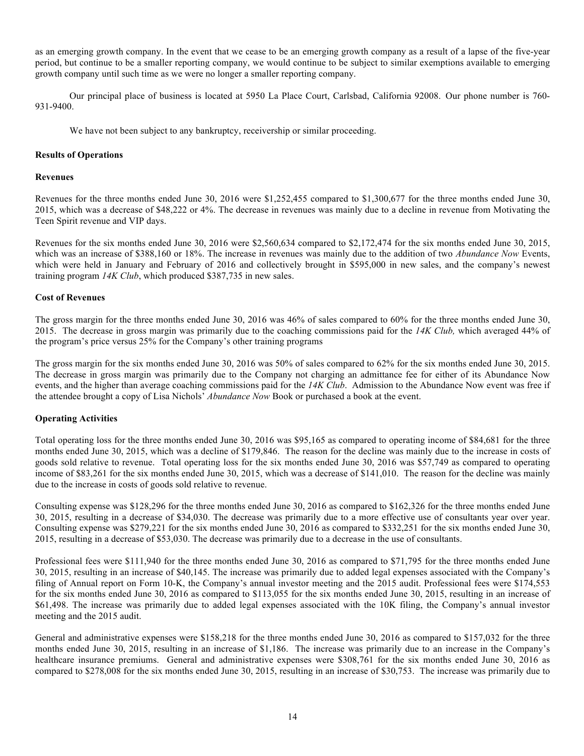as an emerging growth company. In the event that we cease to be an emerging growth company as a result of a lapse of the five-year period, but continue to be a smaller reporting company, we would continue to be subject to similar exemptions available to emerging growth company until such time as we were no longer a smaller reporting company.

Our principal place of business is located at 5950 La Place Court, Carlsbad, California 92008. Our phone number is 760- 931-9400.

We have not been subject to any bankruptcy, receivership or similar proceeding.

#### **Results of Operations**

#### **Revenues**

Revenues for the three months ended June 30, 2016 were \$1,252,455 compared to \$1,300,677 for the three months ended June 30, 2015, which was a decrease of \$48,222 or 4%. The decrease in revenues was mainly due to a decline in revenue from Motivating the Teen Spirit revenue and VIP days.

Revenues for the six months ended June 30, 2016 were \$2,560,634 compared to \$2,172,474 for the six months ended June 30, 2015, which was an increase of \$388,160 or 18%. The increase in revenues was mainly due to the addition of two *Abundance Now* Events, which were held in January and February of 2016 and collectively brought in \$595,000 in new sales, and the company's newest training program *14K Club*, which produced \$387,735 in new sales.

#### **Cost of Revenues**

The gross margin for the three months ended June 30, 2016 was 46% of sales compared to 60% for the three months ended June 30, 2015. The decrease in gross margin was primarily due to the coaching commissions paid for the *14K Club,* which averaged 44% of the program's price versus 25% for the Company's other training programs

The gross margin for the six months ended June 30, 2016 was 50% of sales compared to 62% for the six months ended June 30, 2015. The decrease in gross margin was primarily due to the Company not charging an admittance fee for either of its Abundance Now events, and the higher than average coaching commissions paid for the *14K Club*. Admission to the Abundance Now event was free if the attendee brought a copy of Lisa Nichols' *Abundance Now* Book or purchased a book at the event.

### **Operating Activities**

Total operating loss for the three months ended June 30, 2016 was \$95,165 as compared to operating income of \$84,681 for the three months ended June 30, 2015, which was a decline of \$179,846. The reason for the decline was mainly due to the increase in costs of goods sold relative to revenue. Total operating loss for the six months ended June 30, 2016 was \$57,749 as compared to operating income of \$83,261 for the six months ended June 30, 2015, which was a decrease of \$141,010. The reason for the decline was mainly due to the increase in costs of goods sold relative to revenue.

Consulting expense was \$128,296 for the three months ended June 30, 2016 as compared to \$162,326 for the three months ended June 30, 2015, resulting in a decrease of \$34,030. The decrease was primarily due to a more effective use of consultants year over year. Consulting expense was \$279,221 for the six months ended June 30, 2016 as compared to \$332,251 for the six months ended June 30, 2015, resulting in a decrease of \$53,030. The decrease was primarily due to a decrease in the use of consultants.

Professional fees were \$111,940 for the three months ended June 30, 2016 as compared to \$71,795 for the three months ended June 30, 2015, resulting in an increase of \$40,145. The increase was primarily due to added legal expenses associated with the Company's filing of Annual report on Form 10-K, the Company's annual investor meeting and the 2015 audit. Professional fees were \$174,553 for the six months ended June 30, 2016 as compared to \$113,055 for the six months ended June 30, 2015, resulting in an increase of \$61,498. The increase was primarily due to added legal expenses associated with the 10K filing, the Company's annual investor meeting and the 2015 audit.

General and administrative expenses were \$158,218 for the three months ended June 30, 2016 as compared to \$157,032 for the three months ended June 30, 2015, resulting in an increase of \$1,186. The increase was primarily due to an increase in the Company's healthcare insurance premiums. General and administrative expenses were \$308,761 for the six months ended June 30, 2016 as compared to \$278,008 for the six months ended June 30, 2015, resulting in an increase of \$30,753. The increase was primarily due to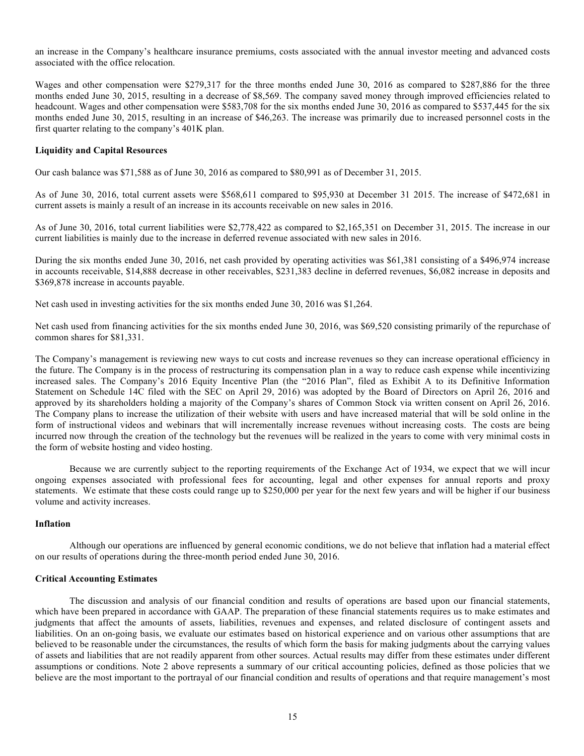an increase in the Company's healthcare insurance premiums, costs associated with the annual investor meeting and advanced costs associated with the office relocation.

Wages and other compensation were \$279,317 for the three months ended June 30, 2016 as compared to \$287,886 for the three months ended June 30, 2015, resulting in a decrease of \$8,569. The company saved money through improved efficiencies related to headcount. Wages and other compensation were \$583,708 for the six months ended June 30, 2016 as compared to \$537,445 for the six months ended June 30, 2015, resulting in an increase of \$46,263. The increase was primarily due to increased personnel costs in the first quarter relating to the company's 401K plan.

#### **Liquidity and Capital Resources**

Our cash balance was \$71,588 as of June 30, 2016 as compared to \$80,991 as of December 31, 2015.

As of June 30, 2016, total current assets were \$568,611 compared to \$95,930 at December 31 2015. The increase of \$472,681 in current assets is mainly a result of an increase in its accounts receivable on new sales in 2016.

As of June 30, 2016, total current liabilities were \$2,778,422 as compared to \$2,165,351 on December 31, 2015. The increase in our current liabilities is mainly due to the increase in deferred revenue associated with new sales in 2016.

During the six months ended June 30, 2016, net cash provided by operating activities was \$61,381 consisting of a \$496,974 increase in accounts receivable, \$14,888 decrease in other receivables, \$231,383 decline in deferred revenues, \$6,082 increase in deposits and \$369,878 increase in accounts payable.

Net cash used in investing activities for the six months ended June 30, 2016 was \$1,264.

Net cash used from financing activities for the six months ended June 30, 2016, was \$69,520 consisting primarily of the repurchase of common shares for \$81,331.

The Company's management is reviewing new ways to cut costs and increase revenues so they can increase operational efficiency in the future. The Company is in the process of restructuring its compensation plan in a way to reduce cash expense while incentivizing increased sales. The Company's 2016 Equity Incentive Plan (the "2016 Plan", filed as Exhibit A to its Definitive Information Statement on Schedule 14C filed with the SEC on April 29, 2016) was adopted by the Board of Directors on April 26, 2016 and approved by its shareholders holding a majority of the Company's shares of Common Stock via written consent on April 26, 2016. The Company plans to increase the utilization of their website with users and have increased material that will be sold online in the form of instructional videos and webinars that will incrementally increase revenues without increasing costs. The costs are being incurred now through the creation of the technology but the revenues will be realized in the years to come with very minimal costs in the form of website hosting and video hosting.

Because we are currently subject to the reporting requirements of the Exchange Act of 1934, we expect that we will incur ongoing expenses associated with professional fees for accounting, legal and other expenses for annual reports and proxy statements. We estimate that these costs could range up to \$250,000 per year for the next few years and will be higher if our business volume and activity increases.

#### **Inflation**

Although our operations are influenced by general economic conditions, we do not believe that inflation had a material effect on our results of operations during the three-month period ended June 30, 2016.

#### **Critical Accounting Estimates**

The discussion and analysis of our financial condition and results of operations are based upon our financial statements, which have been prepared in accordance with GAAP. The preparation of these financial statements requires us to make estimates and judgments that affect the amounts of assets, liabilities, revenues and expenses, and related disclosure of contingent assets and liabilities. On an on-going basis, we evaluate our estimates based on historical experience and on various other assumptions that are believed to be reasonable under the circumstances, the results of which form the basis for making judgments about the carrying values of assets and liabilities that are not readily apparent from other sources. Actual results may differ from these estimates under different assumptions or conditions. Note 2 above represents a summary of our critical accounting policies, defined as those policies that we believe are the most important to the portrayal of our financial condition and results of operations and that require management's most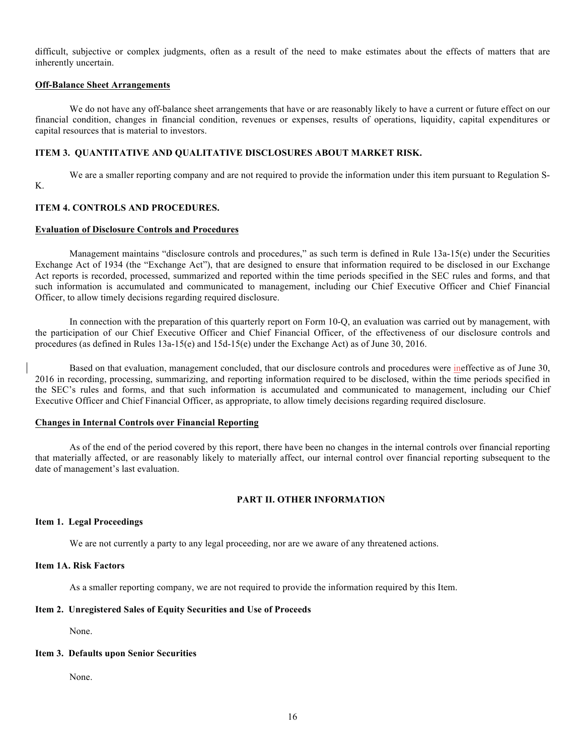difficult, subjective or complex judgments, often as a result of the need to make estimates about the effects of matters that are inherently uncertain.

#### **Off-Balance Sheet Arrangements**

We do not have any off-balance sheet arrangements that have or are reasonably likely to have a current or future effect on our financial condition, changes in financial condition, revenues or expenses, results of operations, liquidity, capital expenditures or capital resources that is material to investors.

#### **ITEM 3. QUANTITATIVE AND QUALITATIVE DISCLOSURES ABOUT MARKET RISK.**

We are a smaller reporting company and are not required to provide the information under this item pursuant to Regulation S-K.

#### **ITEM 4. CONTROLS AND PROCEDURES.**

#### **Evaluation of Disclosure Controls and Procedures**

Management maintains "disclosure controls and procedures," as such term is defined in Rule 13a-15(e) under the Securities Exchange Act of 1934 (the "Exchange Act"), that are designed to ensure that information required to be disclosed in our Exchange Act reports is recorded, processed, summarized and reported within the time periods specified in the SEC rules and forms, and that such information is accumulated and communicated to management, including our Chief Executive Officer and Chief Financial Officer, to allow timely decisions regarding required disclosure.

In connection with the preparation of this quarterly report on Form 10-Q, an evaluation was carried out by management, with the participation of our Chief Executive Officer and Chief Financial Officer, of the effectiveness of our disclosure controls and procedures (as defined in Rules 13a-15(e) and 15d-15(e) under the Exchange Act) as of June 30, 2016.

Based on that evaluation, management concluded, that our disclosure controls and procedures were ineffective as of June 30, 2016 in recording, processing, summarizing, and reporting information required to be disclosed, within the time periods specified in the SEC's rules and forms, and that such information is accumulated and communicated to management, including our Chief Executive Officer and Chief Financial Officer, as appropriate, to allow timely decisions regarding required disclosure.

#### **Changes in Internal Controls over Financial Reporting**

As of the end of the period covered by this report, there have been no changes in the internal controls over financial reporting that materially affected, or are reasonably likely to materially affect, our internal control over financial reporting subsequent to the date of management's last evaluation.

#### **PART II. OTHER INFORMATION**

#### **Item 1. Legal Proceedings**

We are not currently a party to any legal proceeding, nor are we aware of any threatened actions.

#### **Item 1A. Risk Factors**

As a smaller reporting company, we are not required to provide the information required by this Item.

#### **Item 2. Unregistered Sales of Equity Securities and Use of Proceeds**

None.

#### **Item 3. Defaults upon Senior Securities**

None.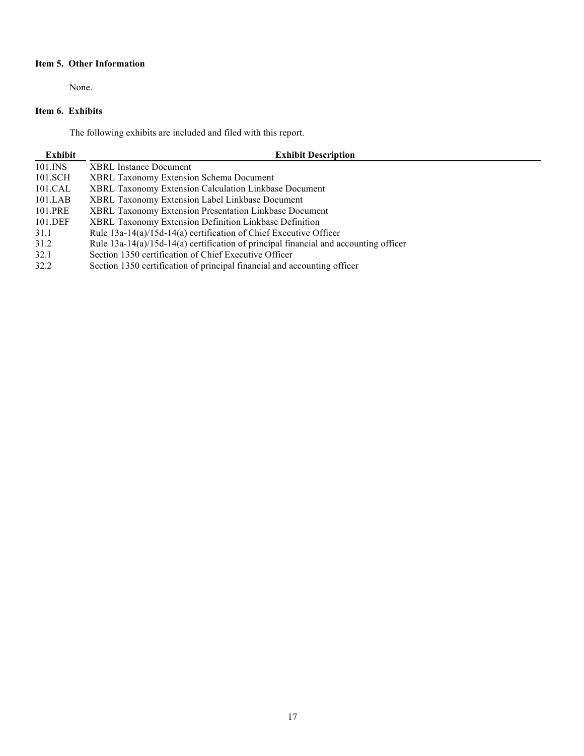# **Item 5. Other Information**

None.

# **Item 6. Exhibits**

The following exhibits are included and filed with this report.

| <b>Exhibit Description</b>                                                           |
|--------------------------------------------------------------------------------------|
| <b>XBRL</b> Instance Document                                                        |
| XBRL Taxonomy Extension Schema Document                                              |
| XBRL Taxonomy Extension Calculation Linkbase Document                                |
| XBRL Taxonomy Extension Label Linkbase Document                                      |
| <b>XBRL Taxonomy Extension Presentation Linkbase Document</b>                        |
| XBRL Taxonomy Extension Definition Linkbase Definition                               |
| Rule $13a-14(a)/15d-14(a)$ certification of Chief Executive Officer                  |
| Rule 13a-14(a)/15d-14(a) certification of principal financial and accounting officer |
| Section 1350 certification of Chief Executive Officer                                |
| Section 1350 certification of principal financial and accounting officer             |
|                                                                                      |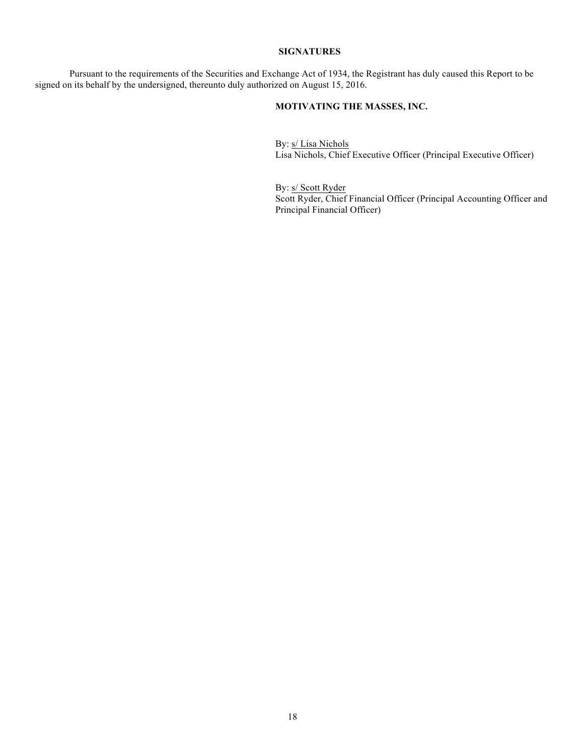#### **SIGNATURES**

Pursuant to the requirements of the Securities and Exchange Act of 1934, the Registrant has duly caused this Report to be signed on its behalf by the undersigned, thereunto duly authorized on August 15, 2016.

### **MOTIVATING THE MASSES, INC.**

By: s/ Lisa Nichols Lisa Nichols, Chief Executive Officer (Principal Executive Officer)

By: s/ Scott Ryder Scott Ryder, Chief Financial Officer (Principal Accounting Officer and Principal Financial Officer)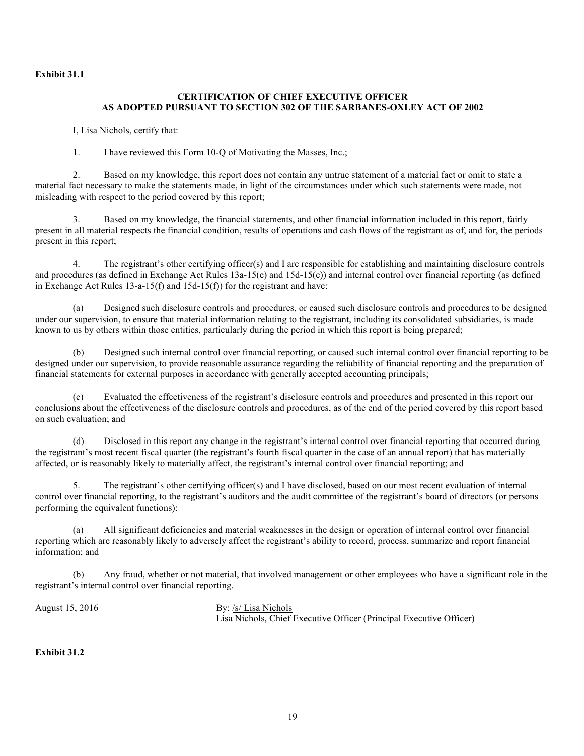### **Exhibit 31.1**

### **CERTIFICATION OF CHIEF EXECUTIVE OFFICER AS ADOPTED PURSUANT TO SECTION 302 OF THE SARBANES-OXLEY ACT OF 2002**

I, Lisa Nichols, certify that:

1. I have reviewed this Form 10-Q of Motivating the Masses, Inc.;

2. Based on my knowledge, this report does not contain any untrue statement of a material fact or omit to state a material fact necessary to make the statements made, in light of the circumstances under which such statements were made, not misleading with respect to the period covered by this report;

3. Based on my knowledge, the financial statements, and other financial information included in this report, fairly present in all material respects the financial condition, results of operations and cash flows of the registrant as of, and for, the periods present in this report;

4. The registrant's other certifying officer(s) and I are responsible for establishing and maintaining disclosure controls and procedures (as defined in Exchange Act Rules 13a-15(e) and 15d-15(e)) and internal control over financial reporting (as defined in Exchange Act Rules  $13-a-15(f)$  and  $15d-15(f)$  for the registrant and have:

(a) Designed such disclosure controls and procedures, or caused such disclosure controls and procedures to be designed under our supervision, to ensure that material information relating to the registrant, including its consolidated subsidiaries, is made known to us by others within those entities, particularly during the period in which this report is being prepared;

(b) Designed such internal control over financial reporting, or caused such internal control over financial reporting to be designed under our supervision, to provide reasonable assurance regarding the reliability of financial reporting and the preparation of financial statements for external purposes in accordance with generally accepted accounting principals;

(c) Evaluated the effectiveness of the registrant's disclosure controls and procedures and presented in this report our conclusions about the effectiveness of the disclosure controls and procedures, as of the end of the period covered by this report based on such evaluation; and

(d) Disclosed in this report any change in the registrant's internal control over financial reporting that occurred during the registrant's most recent fiscal quarter (the registrant's fourth fiscal quarter in the case of an annual report) that has materially affected, or is reasonably likely to materially affect, the registrant's internal control over financial reporting; and

5. The registrant's other certifying officer(s) and I have disclosed, based on our most recent evaluation of internal control over financial reporting, to the registrant's auditors and the audit committee of the registrant's board of directors (or persons performing the equivalent functions):

(a) All significant deficiencies and material weaknesses in the design or operation of internal control over financial reporting which are reasonably likely to adversely affect the registrant's ability to record, process, summarize and report financial information; and

(b) Any fraud, whether or not material, that involved management or other employees who have a significant role in the registrant's internal control over financial reporting.

August 15, 2016 By: /s/ Lisa Nichols Lisa Nichols, Chief Executive Officer (Principal Executive Officer)

**Exhibit 31.2**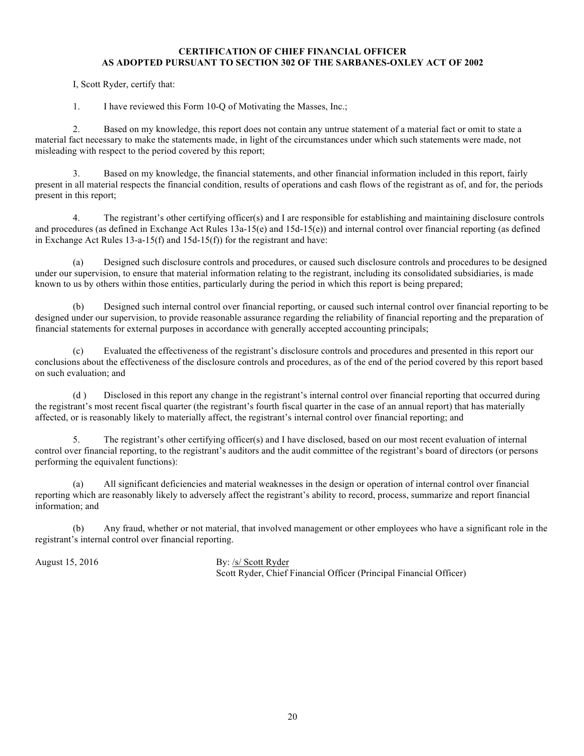#### **CERTIFICATION OF CHIEF FINANCIAL OFFICER AS ADOPTED PURSUANT TO SECTION 302 OF THE SARBANES-OXLEY ACT OF 2002**

I, Scott Ryder, certify that:

1. I have reviewed this Form 10-Q of Motivating the Masses, Inc.;

2. Based on my knowledge, this report does not contain any untrue statement of a material fact or omit to state a material fact necessary to make the statements made, in light of the circumstances under which such statements were made, not misleading with respect to the period covered by this report;

3. Based on my knowledge, the financial statements, and other financial information included in this report, fairly present in all material respects the financial condition, results of operations and cash flows of the registrant as of, and for, the periods present in this report;

4. The registrant's other certifying officer(s) and I are responsible for establishing and maintaining disclosure controls and procedures (as defined in Exchange Act Rules 13a-15(e) and 15d-15(e)) and internal control over financial reporting (as defined in Exchange Act Rules 13-a-15(f) and 15d-15(f)) for the registrant and have:

(a) Designed such disclosure controls and procedures, or caused such disclosure controls and procedures to be designed under our supervision, to ensure that material information relating to the registrant, including its consolidated subsidiaries, is made known to us by others within those entities, particularly during the period in which this report is being prepared;

(b) Designed such internal control over financial reporting, or caused such internal control over financial reporting to be designed under our supervision, to provide reasonable assurance regarding the reliability of financial reporting and the preparation of financial statements for external purposes in accordance with generally accepted accounting principals;

(c) Evaluated the effectiveness of the registrant's disclosure controls and procedures and presented in this report our conclusions about the effectiveness of the disclosure controls and procedures, as of the end of the period covered by this report based on such evaluation; and

(d ) Disclosed in this report any change in the registrant's internal control over financial reporting that occurred during the registrant's most recent fiscal quarter (the registrant's fourth fiscal quarter in the case of an annual report) that has materially affected, or is reasonably likely to materially affect, the registrant's internal control over financial reporting; and

5. The registrant's other certifying officer(s) and I have disclosed, based on our most recent evaluation of internal control over financial reporting, to the registrant's auditors and the audit committee of the registrant's board of directors (or persons performing the equivalent functions):

(a) All significant deficiencies and material weaknesses in the design or operation of internal control over financial reporting which are reasonably likely to adversely affect the registrant's ability to record, process, summarize and report financial information; and

(b) Any fraud, whether or not material, that involved management or other employees who have a significant role in the registrant's internal control over financial reporting.

August 15, 2016 By: /s/ Scott Ryder Scott Ryder, Chief Financial Officer (Principal Financial Officer)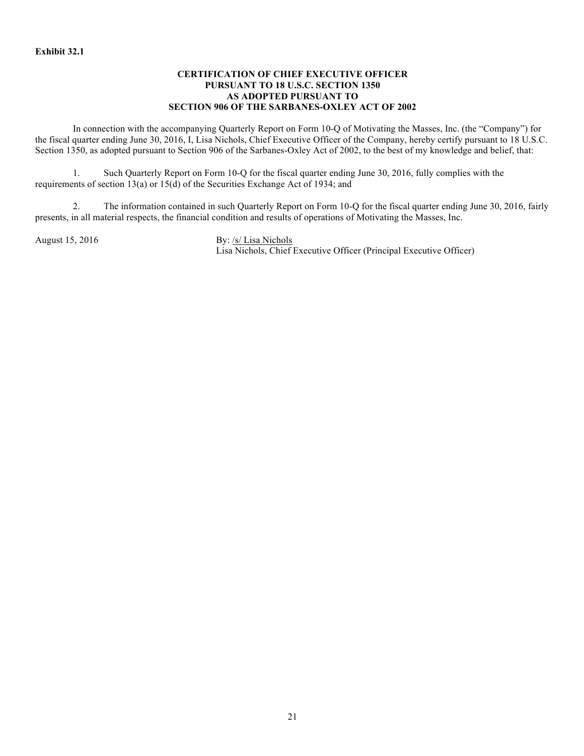#### **Exhibit 32.1**

#### **CERTIFICATION OF CHIEF EXECUTIVE OFFICER PURSUANT TO 18 U.S.C. SECTION 1350 AS ADOPTED PURSUANT TO SECTION 906 OF THE SARBANES-OXLEY ACT OF 2002**

In connection with the accompanying Quarterly Report on Form 10-Q of Motivating the Masses, Inc. (the "Company") for the fiscal quarter ending June 30, 2016, I, Lisa Nichols, Chief Executive Officer of the Company, hereby certify pursuant to 18 U.S.C. Section 1350, as adopted pursuant to Section 906 of the Sarbanes-Oxley Act of 2002, to the best of my knowledge and belief, that:

1. Such Quarterly Report on Form 10-Q for the fiscal quarter ending June 30, 2016, fully complies with the requirements of section 13(a) or 15(d) of the Securities Exchange Act of 1934; and

2. The information contained in such Quarterly Report on Form 10-Q for the fiscal quarter ending June 30, 2016, fairly presents, in all material respects, the financial condition and results of operations of Motivating the Masses, Inc.

August 15, 2016 By: /s/ Lisa Nichols Lisa Nichols, Chief Executive Officer (Principal Executive Officer)